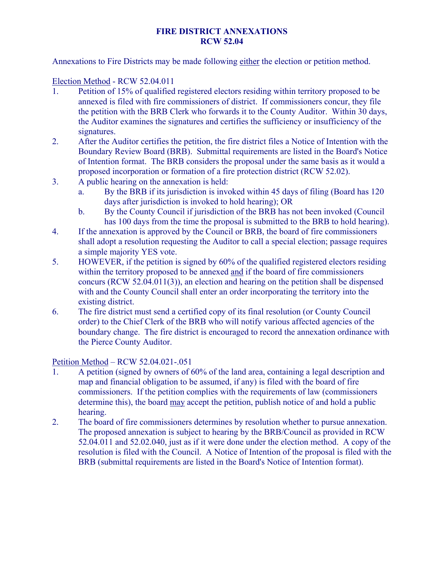## **FIRE DISTRICT ANNEXATIONS RCW 52.04**

Annexations to Fire Districts may be made following either the election or petition method.

## Election Method - RCW 52.04.011

- 1. Petition of 15% of qualified registered electors residing within territory proposed to be annexed is filed with fire commissioners of district. If commissioners concur, they file the petition with the BRB Clerk who forwards it to the County Auditor. Within 30 days, the Auditor examines the signatures and certifies the sufficiency or insufficiency of the signatures.
- 2. After the Auditor certifies the petition, the fire district files a Notice of Intention with the Boundary Review Board (BRB). Submittal requirements are listed in the Board's Notice of Intention format. The BRB considers the proposal under the same basis as it would a proposed incorporation or formation of a fire protection district (RCW 52.02).
- 3. A public hearing on the annexation is held:
	- a. By the BRB if its jurisdiction is invoked within 45 days of filing (Board has 120 days after jurisdiction is invoked to hold hearing); OR
	- b. By the County Council if jurisdiction of the BRB has not been invoked (Council has 100 days from the time the proposal is submitted to the BRB to hold hearing).
- 4. If the annexation is approved by the Council or BRB, the board of fire commissioners shall adopt a resolution requesting the Auditor to call a special election; passage requires a simple majority YES vote.
- 5. HOWEVER, if the petition is signed by 60% of the qualified registered electors residing within the territory proposed to be annexed and if the board of fire commissioners concurs (RCW 52.04.011(3)), an election and hearing on the petition shall be dispensed with and the County Council shall enter an order incorporating the territory into the existing district.
- 6. The fire district must send a certified copy of its final resolution (or County Council order) to the Chief Clerk of the BRB who will notify various affected agencies of the boundary change. The fire district is encouraged to record the annexation ordinance with the Pierce County Auditor.

## Petition Method – RCW 52.04.021-.051

- 1. A petition (signed by owners of 60% of the land area, containing a legal description and map and financial obligation to be assumed, if any) is filed with the board of fire commissioners. If the petition complies with the requirements of law (commissioners determine this), the board may accept the petition, publish notice of and hold a public hearing.
- 2. The board of fire commissioners determines by resolution whether to pursue annexation. The proposed annexation is subject to hearing by the BRB/Council as provided in RCW 52.04.011 and 52.02.040, just as if it were done under the election method. A copy of the resolution is filed with the Council. A Notice of Intention of the proposal is filed with the BRB (submittal requirements are listed in the Board's Notice of Intention format).